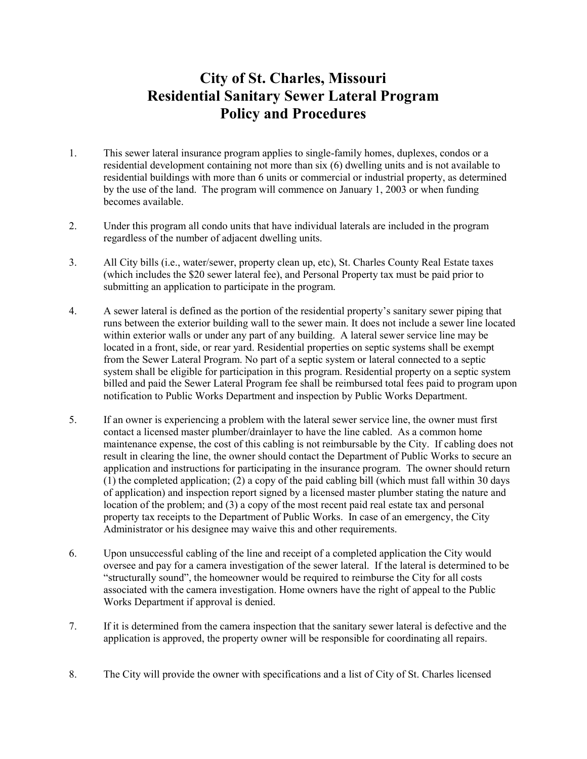## City of St. Charles, Missouri Residential Sanitary Sewer Lateral Program Policy and Procedures

- 1. This sewer lateral insurance program applies to single-family homes, duplexes, condos or a residential development containing not more than six (6) dwelling units and is not available to residential buildings with more than 6 units or commercial or industrial property, as determined by the use of the land. The program will commence on January 1, 2003 or when funding becomes available.
- 2. Under this program all condo units that have individual laterals are included in the program regardless of the number of adjacent dwelling units.
- 3. All City bills (i.e., water/sewer, property clean up, etc), St. Charles County Real Estate taxes (which includes the \$20 sewer lateral fee), and Personal Property tax must be paid prior to submitting an application to participate in the program.
- 4. A sewer lateral is defined as the portion of the residential property's sanitary sewer piping that runs between the exterior building wall to the sewer main. It does not include a sewer line located within exterior walls or under any part of any building. A lateral sewer service line may be located in a front, side, or rear yard. Residential properties on septic systems shall be exempt from the Sewer Lateral Program. No part of a septic system or lateral connected to a septic system shall be eligible for participation in this program. Residential property on a septic system billed and paid the Sewer Lateral Program fee shall be reimbursed total fees paid to program upon notification to Public Works Department and inspection by Public Works Department.
- 5. If an owner is experiencing a problem with the lateral sewer service line, the owner must first contact a licensed master plumber/drainlayer to have the line cabled. As a common home maintenance expense, the cost of this cabling is not reimbursable by the City. If cabling does not result in clearing the line, the owner should contact the Department of Public Works to secure an application and instructions for participating in the insurance program. The owner should return (1) the completed application; (2) a copy of the paid cabling bill (which must fall within 30 days of application) and inspection report signed by a licensed master plumber stating the nature and location of the problem; and (3) a copy of the most recent paid real estate tax and personal property tax receipts to the Department of Public Works. In case of an emergency, the City Administrator or his designee may waive this and other requirements.
- 6. Upon unsuccessful cabling of the line and receipt of a completed application the City would oversee and pay for a camera investigation of the sewer lateral. If the lateral is determined to be "structurally sound", the homeowner would be required to reimburse the City for all costs associated with the camera investigation. Home owners have the right of appeal to the Public Works Department if approval is denied.
- 7. If it is determined from the camera inspection that the sanitary sewer lateral is defective and the application is approved, the property owner will be responsible for coordinating all repairs.
- 8. The City will provide the owner with specifications and a list of City of St. Charles licensed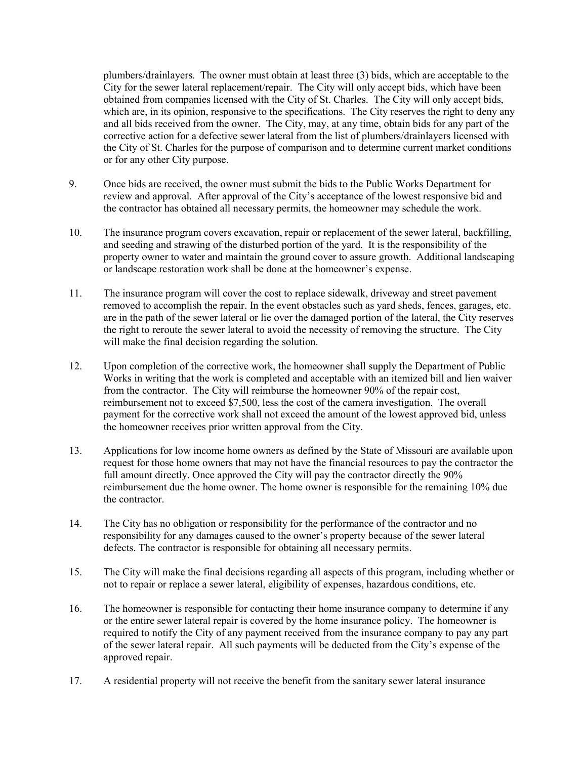plumbers/drainlayers. The owner must obtain at least three (3) bids, which are acceptable to the City for the sewer lateral replacement/repair. The City will only accept bids, which have been obtained from companies licensed with the City of St. Charles. The City will only accept bids, which are, in its opinion, responsive to the specifications. The City reserves the right to deny any and all bids received from the owner. The City, may, at any time, obtain bids for any part of the corrective action for a defective sewer lateral from the list of plumbers/drainlayers licensed with the City of St. Charles for the purpose of comparison and to determine current market conditions or for any other City purpose.

- 9. Once bids are received, the owner must submit the bids to the Public Works Department for review and approval. After approval of the City's acceptance of the lowest responsive bid and the contractor has obtained all necessary permits, the homeowner may schedule the work.
- 10. The insurance program covers excavation, repair or replacement of the sewer lateral, backfilling, and seeding and strawing of the disturbed portion of the yard. It is the responsibility of the property owner to water and maintain the ground cover to assure growth. Additional landscaping or landscape restoration work shall be done at the homeowner's expense.
- 11. The insurance program will cover the cost to replace sidewalk, driveway and street pavement removed to accomplish the repair. In the event obstacles such as yard sheds, fences, garages, etc. are in the path of the sewer lateral or lie over the damaged portion of the lateral, the City reserves the right to reroute the sewer lateral to avoid the necessity of removing the structure. The City will make the final decision regarding the solution.
- 12. Upon completion of the corrective work, the homeowner shall supply the Department of Public Works in writing that the work is completed and acceptable with an itemized bill and lien waiver from the contractor. The City will reimburse the homeowner 90% of the repair cost, reimbursement not to exceed \$7,500, less the cost of the camera investigation. The overall payment for the corrective work shall not exceed the amount of the lowest approved bid, unless the homeowner receives prior written approval from the City.
- 13. Applications for low income home owners as defined by the State of Missouri are available upon request for those home owners that may not have the financial resources to pay the contractor the full amount directly. Once approved the City will pay the contractor directly the 90% reimbursement due the home owner. The home owner is responsible for the remaining 10% due the contractor.
- 14. The City has no obligation or responsibility for the performance of the contractor and no responsibility for any damages caused to the owner's property because of the sewer lateral defects. The contractor is responsible for obtaining all necessary permits.
- 15. The City will make the final decisions regarding all aspects of this program, including whether or not to repair or replace a sewer lateral, eligibility of expenses, hazardous conditions, etc.
- 16. The homeowner is responsible for contacting their home insurance company to determine if any or the entire sewer lateral repair is covered by the home insurance policy. The homeowner is required to notify the City of any payment received from the insurance company to pay any part of the sewer lateral repair. All such payments will be deducted from the City's expense of the approved repair.
- 17. A residential property will not receive the benefit from the sanitary sewer lateral insurance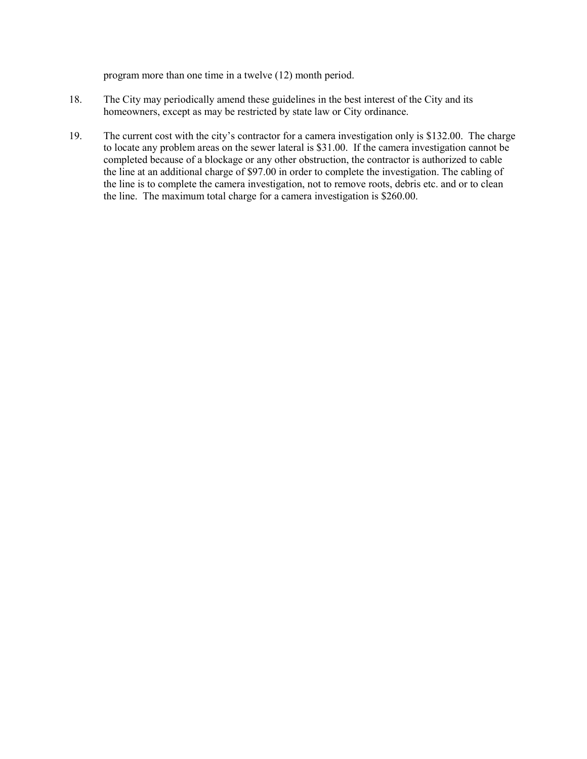program more than one time in a twelve (12) month period.

- 18. The City may periodically amend these guidelines in the best interest of the City and its homeowners, except as may be restricted by state law or City ordinance.
- 19. The current cost with the city's contractor for a camera investigation only is \$132.00. The charge to locate any problem areas on the sewer lateral is \$31.00. If the camera investigation cannot be completed because of a blockage or any other obstruction, the contractor is authorized to cable the line at an additional charge of \$97.00 in order to complete the investigation. The cabling of the line is to complete the camera investigation, not to remove roots, debris etc. and or to clean the line. The maximum total charge for a camera investigation is \$260.00.